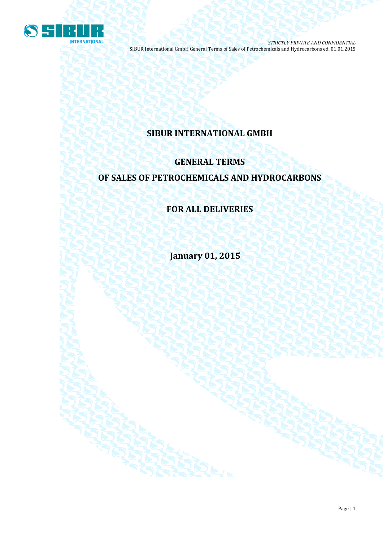

## **SIBUR INTERNATIONAL GMBH**

# **GENERAL TERMS OF SALES OF PETROCHEMICALS AND HYDROCARBONS**

## **FOR ALL DELIVERIES**

**January 01, 2015**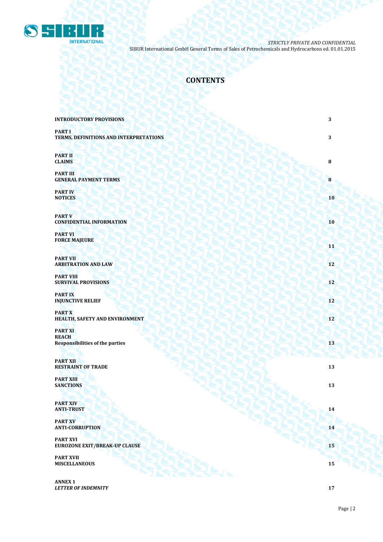

## **CONTENTS**

| <b>INTRODUCTORY PROVISIONS</b>                                           | 3  |
|--------------------------------------------------------------------------|----|
| <b>PART I</b><br>TERMS, DEFINITIONS AND INTERPRETATIONS                  | 3  |
| <b>PART II</b><br><b>CLAIMS</b>                                          | 8  |
| <b>PART III</b><br><b>GENERAL PAYMENT TERMS</b>                          | 8  |
| <b>PART IV</b><br><b>NOTICES</b>                                         | 10 |
| <b>PART V</b><br><b>CONFIDENTIAL INFORMATION</b>                         | 10 |
| <b>PART VI</b><br><b>FORCE MAJEURE</b>                                   | 11 |
| <b>PART VII</b><br><b>ARBITRATION AND LAW</b>                            | 12 |
| <b>PART VIII</b><br><b>SURVIVAL PROVISIONS</b>                           | 12 |
| <b>PARTIX</b><br><b>INJUNCTIVE RELIEF</b>                                | 12 |
| <b>PARTX</b><br>HEALTH, SAFETY AND ENVIRONMENT                           | 12 |
| <b>PART XI</b><br><b>REACH</b><br><b>Responsibilities of the parties</b> | 13 |
| <b>PART XII</b><br><b>RESTRAINT OF TRADE</b>                             | 13 |
| <b>PART XIII</b><br><b>SANCTIONS</b>                                     | 13 |
| <b>PART XIV</b><br><b>ANTI-TRUST</b>                                     | 14 |
| <b>PART XV</b><br><b>ANTI-CORRUPTION</b>                                 | 14 |
| <b>PART XVI</b><br><b>EUROZONE EXIT/BREAK-UP CLAUSE</b>                  | 15 |
| <b>PART XVII</b><br><b>MISCELLANEOUS</b>                                 | 15 |
| <b>ANNEX 1</b>                                                           |    |

*LETTER OF INDEMNITY* **17**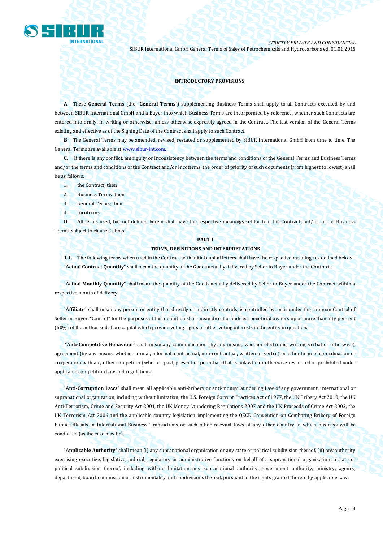

#### **INTRODUCTORY PROVISIONS**

**A.** These **General Terms** (the "**General Terms**") supplementing Business Terms shall apply to all Contracts executed by and between SIBUR International GmbH and a Buyer into which Business Terms are incorporated by reference, whether such Contracts are entered into orally, in writing or otherwise, unless otherwise expressly agreed in the Contract. The last version of the General Terms existing and effective as of the Signing Date of the Contract shall apply to such Contract.

**B.** The General Terms may be amended, revised, restated or supplemented by SIBUR International GmbH from time to time. The General Terms are available a[t www.sibur-int.com.](http://www.sibur-int.com/)

**C.** If there is any conflict, ambiguity or inconsistency between the terms and conditions of the General Terms and Business Terms and/or the terms and conditions of the Contract and/or Incoterms, the order of priority of such documents (from highest to lowest) shall be as follows:

- 1. the Contract; then
- 2. Business Terms; then
- 3. General Terms; then
- 4. Incoterms.

**D.** All terms used, but not defined herein shall have the respective meanings set forth in the Contract and/ or in the Business Terms, subject to clause C above.

## **PART I**

#### **TERMS, DEFINITIONS AND INTERPRETATIONS**

**1.1.** The following terms when used in the Contract with initial capital letters shall have the respective meanings as defined below: "**Actual Contract Quantity**" shall mean the quantity of the Goods actually delivered by Seller to Buyer under the Contract.

"**Actual Monthly Quantity**" shall mean the quantity of the Goods actually delivered by Seller to Buyer under the Contract within a respective month of delivery.

"**Affiliate**" shall mean any person or entity that directly or indirectly controls, is controlled by, or is under the common Control of Seller or Buyer. "Control" for the purposes of this definition shall mean direct or indirect beneficial ownership of more than fifty per cent (50%) of the authorised share capital which provide voting rights or other voting interests in the entity in question.

"**Anti-Competitive Behaviour**" shall mean any communication (by any means, whether electronic, written, verbal or otherwise), agreement (by any means, whether formal, informal, contractual, non-contractual, written or verbal) or other form of co-ordination or cooperation with any other competitor (whether past, present or potential) that is unlawful or otherwise restricted or prohibited under applicable competition Law and regulations.

"**Anti-Corruption Laws**" shall mean all applicable anti-bribery or anti-money laundering Law of any government, international or supranational organization, including without limitation, the U.S. Foreign Corrupt Practices Act of 1977, the UK Bribery Act 2010, the UK Anti-Terrorism, Crime and Security Act 2001, the UK Money Laundering Regulations 2007 and the UK Proceeds of Crime Act 2002, the UK Terrorism Act 2006 and the applicable country legislation implementing the OECD Convention on Combating Bribery of Foreign Public Officials in International Business Transactions or such other relevant laws of any other country in which business will be conducted (as the case may be).

"**Applicable Authority**" shall mean (i) any supranational organisation or any state or political subdivision thereof, (ii) any authority exercising executive, legislative, judicial, regulatory or administrative functions on behalf of a supranational organisation, a state or political subdivision thereof, including without limitation any supranational authority, government authority, ministry, agency, department, board, commission or instrumentality and subdivisions thereof, pursuant to the rights granted thereto by applicable Law.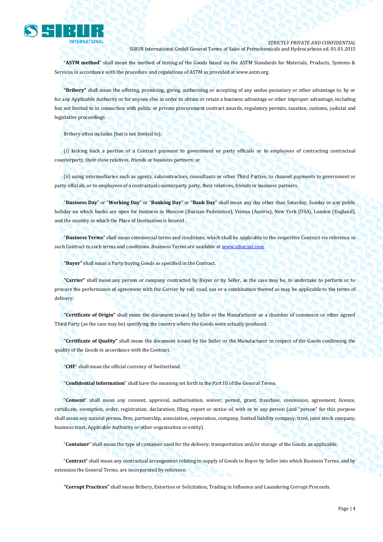

"**ASTM method**" shall mean the method of testing of the Goods based on the ASTM Standards for Materials, Products, Systems & Services in accordance with the procedure and regulations of ASTM as provided a[t www.astm.org.](http://www.astm.org/)

**"Bribery"** shall mean the offering, promising, giving, authorising or accepting of any undue pecuniary or other advantage to, by or for any Applicable Authority or for anyone else in order to obtain or retain a business advantage or other improper advantage, including but not limited to in connection with public or private procurement contract awards, regulatory permits, taxation, customs, judicial and legislative proceedings.

Bribery often includes (but is not limited to):

(i) kicking back a portion of a Contract payment to government or party officials or to employees of contracting contractual counterparty, their close relatives, friends or business partners; or

(ii) using intermediaries such as agents, subcontractors, consultants or other Third Parties, to channel payments to government or party officials, or to employees of a contractual counterparty party, their relatives, friends or business partners.

"**Business Day**" or "**Working Day**" or "**Banking Day**" or "**Bank Day**" shall mean any day other than Saturday, Sunday or any public holiday on which banks are open for business in Moscow (Russian Federation), Vienna (Austria), New York (USA), London (England), and the country in which the Place of Destination is located .

"**Business Terms**" shall mean commercial terms and conditions, which shall be applicable to the respective Contract via reference in such Contract to such terms and conditions. Business Terms are available a[t www.sibur.int.com.](http://www.sibur.int.com/) 

**"Buyer"** shall mean a Party buying Goods as specified in the Contract.

**"Carrier"** shall mean any person or company contracted by Buyer or by Seller, as the case may be, to undertake to perform or to procure the performance of agreement with the Carrier by rail, road, sea or a combination thereof as may be applicable to the terms of delivery.

**"Certificate of Origin"** shall mean the document issued by Seller or the Manufacturer or a chamber of commerce or other agreed Third Party (as the case may be) specifying the country where the Goods were actually produced.

**"Certificate of Quality"** shall mean the document issued by the Seller or the Manufacturer in respect of the Goods confirming the quality of the Goods in accordance with the Contract.

"**CHF**" shall mean the official currency of Switzerland.

"**Confidential Information**" shall have the meaning set forth in the Part III of the General Terms.

"**Consent**" shall mean any consent, approval, authorisation, waiver, permit, grant, franchise, concession, agreement, licence, certificate, exemption, order, registration, declaration, filing, report or notice of, with or to any person (and "person" for this purpose shall mean any natural person, firm, partnership, association, corporation, company, limited liability company, trust, joint stock company, business trust, Applicable Authority or other organisation or entity).

"**Container**" shall mean the type of container used for the delivery, transportation and/or storage of the Goods, as applicable.

"**Contract**" shall mean any contractual arrangement relating to supply of Goods to Buyer by Seller into which Business Terms, and by extension the General Terms, are incorporated by reference.

**"Corrupt Practices"** shall mean Bribery, Extortion or Solicitation, Trading in Influence and Laundering Corrupt Proceeds.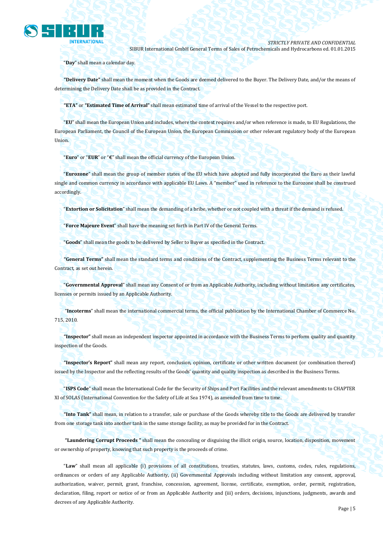

"**Day**" shall mean a calendar day.

**"Delivery Date"** shall mean the moment when the Goods are deemed delivered to the Buyer. The Delivery Date, and/or the means of determining the Delivery Date shall be as provided in the Contract.

**"ETA"** or **"Estimated Time of Arrival"** shall mean estimated time of arrival of the Vessel to the respective port.

"**EU**" shall mean the European Union and includes, where the context requires and/or when reference is made, to EU Regulations, the European Parliament, the Council of the European Union, the European Commission or other relevant regulatory body of the European Union.

"**Euro**" or "**EUR**" or "**€**" shall mean the official currency of the European Union.

"**Eurozone**" shall mean the group of member states of the EU which have adopted and fully incorporated the Euro as their lawful single and common currency in accordance with applicable EU Laws. A "member" used in reference to the Eurozone shall be construed accordingly.

"**Extortion or Solicitation**" shall mean the demanding of a bribe, whether or not coupled with a threat if the demand is refused.

"**Force Majeure Event**" shall have the meaning set forth in Part IV of the General Terms.

"**Goods**" shall mean the goods to be delivered by Seller to Buyer as specified in the Contract.

**"General Terms"** shall mean the standard terms and conditions of the Contract, supplementing the Business Terms relevant to the Contract, as set out herein.

"**Governmental Approval**" shall mean any Consent of or from an Applicable Authority, including without limitation any certificates, licenses or permits issued by an Applicable Authority.

"**Incoterms**" shall mean the international commercial terms, the official publication by the International Chamber of Commerce No. 715, 2010.

**"Inspector"** shall mean an independent inspector appointed in accordance with the Business Terms to perform quality and quantity inspection of the Goods.

**"Inspector's Report"** shall mean any report, conclusion, opinion, certificate or other written document (or combination thereof) issued by the Inspector and the reflecting results of the Goods' quantity and quality inspection as described in the Business Terms.

"**ISPS Code**" shall mean the International Code for the Security of Ships and Port Facilities and the relevant amendments to CHAPTER XI of SOLAS (International Convention for the Safety of Life at Sea 1974), as amended from time to time.

**"Into Tank"** shall mean, in relation to a transfer, sale or purchase of the Goods whereby title to the Goods are delivered by transfer from one storage tank into another tank in the same storage facility, as may be provided for in the Contract.

**"Laundering Corrupt Proceeds "** shall mean the concealing or disguising the illicit origin, source, location, disposition, movement or ownership of property, knowing that such property is the proceeds of crime.

"**Law**" shall mean all applicable (i) provisions of all constitutions, treaties, statutes, laws, customs, codes, rules, regulations, ordinances or orders of any Applicable Authority, (ii) Governmental Approvals including without limitation any consent, approval, authorization, waiver, permit, grant, franchise, concession, agreement, license, certificate, exemption, order, permit, registration, declaration, filing, report or notice of or from an Applicable Authority and (iii) orders, decisions, injunctions, judgments, awards and decrees of any Applicable Authority.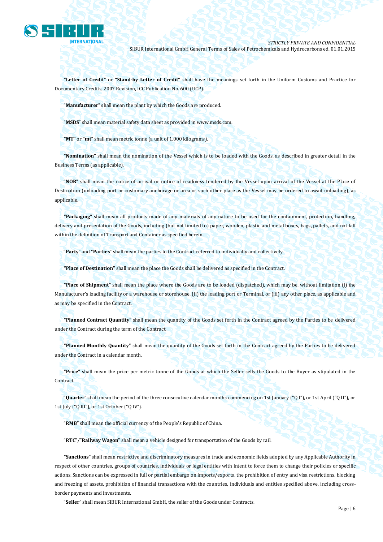

**"Letter of Credit"** or **"Stand-by Letter of Credit"** shall have the meanings set forth in the Uniform Customs and Practice for Documentary Credits, 2007 Revision, ICC Publication No. 600 (UCP).

"**Manufacturer**" shall mean the plant by which the Goods are produced.

"**MSDS**" shall mean material safety data sheet as provided in www.msds.com.

**"MT"** or **"mt"** shall mean metric tonne (a unit of 1,000 kilograms).

**"Nomination"** shall mean the nomination of the Vessel which is to be loaded with the Goods, as described in greater detail in the Business Terms (as applicable).

"**NOR**" shall mean the notice of arrival or notice of readiness tendered by the Vessel upon arrival of the Vessel at the Place of Destination (unloading port or customary anchorage or area or such other place as the Vessel may be ordered to await unloading), as applicable.

**"Packaging"** shall mean all products made of any materials of any nature to be used for the containment, protection, handling, delivery and presentation of the Goods, including (but not limited to) paper, wooden, plastic and metal boxes, bags, pallets, and not fall within the definition of Transport and Container as specified herein.

"**Party**" and "**Parties**" shall mean the parties to the Contract referred to individually and collectively.

**"Place of Destination"** shall mean the place the Goods shall be delivered as specified in the Contract.

**"Place of Shipment"** shall mean the place where the Goods are to be loaded (dispatched), which may be, without limitation (i) the Manufacturer's loading facility or a warehouse or storehouse, (ii) the loading port or Terminal, or (iii) any other place, as applicable and as may be specified in the Contract.

**"Planned Contract Quantity"** shall mean the quantity of the Goods set forth in the Contract agreed by the Parties to be delivered under the Contract during the term of the Contract.

**"Planned Monthly Quantity"** shall mean the quantity of the Goods set forth in the Contract agreed by the Parties to be delivered under the Contract in a calendar month.

**"Price"** shall mean the price per metric tonne of the Goods at which the Seller sells the Goods to the Buyer as stipulated in the Contract.

"**Quarter**" shall mean the period of the three consecutive calendar months commencing on 1st January ("Q I"), or 1st April ("Q II"), or 1st July ("Q III"), or 1st October ("Q IV").

"**RMB**" shall mean the official currency of the People's Republic of China.

"**RTC**"/"**Railway Wagon**" shall mean a vehicle designed for transportation of the Goods by rail.

**"Sanctions"** shall mean restrictive and discriminatory measures in trade and economic fields adopted by any Applicable Authority in respect of other countries, groups of countries, individuals or legal entities with intent to force them to change their policies or specific actions. Sanctions can be expressed in full or partial embargo on imports/exports, the prohibition of entry and visa restrictions, blocking and freezing of assets, prohibition of financial transactions with the countries, individuals and entities specified above, including crossborder payments and investments.

"**Seller**" shall mean SIBUR International GmbH, the seller of the Goods under Contracts.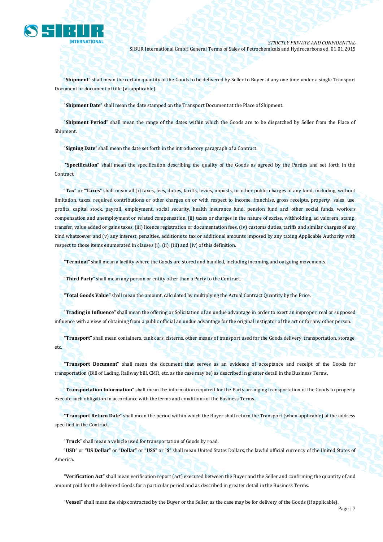

"**Shipment**" shall mean the certain quantity of the Goods to be delivered by Seller to Buyer at any one time under a single Transport Document or document of title (as applicable).

"**Shipment Date**" shall mean the date stamped on the Transport Document at the Place of Shipment.

"**Shipment Period**" shall mean the range of the dates within which the Goods are to be dispatched by Seller from the Place of Shipment.

"**Signing Date**" shall mean the date set forth in the introductory paragraph of a Contract.

"**Specification**" shall mean the specification describing the quality of the Goods as agreed by the Parties and set forth in the Contract.

"**Tax**" or "**Taxes**" shall mean all (i) taxes, fees, duties, tariffs, levies, imposts, or other public charges of any kind, including, without limitation, taxes, required contributions or other charges on or with respect to income, franchise, gross receipts, property, sales, use, profits, capital stock, payroll, employment, social security, health insurance fund, pension fund and other social funds, workers compensation and unemployment or related compensation, (ii) taxes or charges in the nature of excise, withholding, ad valorem, stamp, transfer, value added or gains taxes, (iii) licence registration or documentation fees, (iv) customs duties, tariffs and similar charges of any kind whatsoever and (v) any interest, penalties, additions to tax or additional amounts imposed by any taxing Applicable Authority with respect to those items enumerated in clauses (i), (ii), (iii) and (iv) of this definition.

**"Terminal"** shall mean a facility where the Goods are stored and handled, including incoming and outgoing movements.

"**Third Party**" shall mean any person or entity other than a Party to the Contract.

**"Total Goods Value"** shall mean the amount, calculated by multiplying the Actual Contract Quantity by the Price.

"**Trading in Influence**" shall mean the offering or Solicitation of an undue advantage in order to exert an improper, real or supposed influence with a view of obtaining from a public official an undue advantage for the original instigator of the act or for any other person.

**"Transport"** shall mean containers, tank cars, cisterns, other means of transport used for the Goods delivery, transportation, storage, etc.

**"Transport Document**" shall mean the document that serves as an evidence of acceptance and receipt of the Goods for transportation (Bill of Lading, Railway bill, CMR, etc. as the case may be) as described in greater detail in the Business Terms.

"**Transportation Information**" shall mean the information required for the Party arranging transportation of the Goods to properly execute such obligation in accordance with the terms and conditions of the Business Terms.

**"Transport Return Date**" shall mean the period within which the Buyer shall return the Transport (when applicable) at the address specified in the Contract.

"**Truck**" shall mean a vehicle used for transportation of Goods by road.

"**USD**" or "**US Dollar**" or "**Dollar**" or "**US\$**" or "**\$**" shall mean United States Dollars, the lawful official currency of the United States of America.

**"Verification Act"** shall mean verification report (act) executed between the Buyer and the Seller and confirming the quantity of and amount paid for the delivered Goods for a particular period and as described in greater detail in the Business Terms.

"**Vessel**" shall mean the ship contracted by the Buyer or the Seller, as the case may be for delivery of the Goods (if applicable).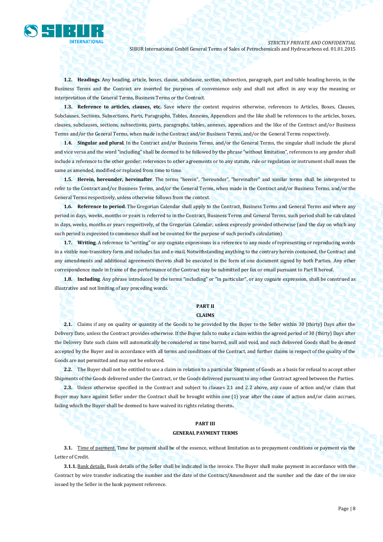

**1.2. Headings**. Any heading, article, boxes, clause, subclause, section, subsection, paragraph, part and table heading herein, in the Business Terms and the Contract are inserted for purposes of convenience only and shall not affect in any way the meaning or interpretation of the General Terms, Business Terms or the Contract.

**1.3. Reference to articles, clauses, etc.** Save where the context requires otherwise, references to Articles, Boxes, Clauses, Subclauses, Sections, Subsections, Parts, Paragraphs, Tables, Annexes, Appendices and the like shall be references to the articles, boxes, clauses, subclauses, sections, subsections, parts, paragraphs, tables, annexes, appendices and the like of the Contract and/or Business Terms and/or the General Terms, when made in the Contract and/or Business Terms, and/or the General Terms respectively.

**1.4. Singular and plural**. In the Contract and/or Business Terms, and/or the General Terms, the singular shall include the plural and vice versa and the word "including" shall be deemed to be followed by the phrase "without limitation", references to any gender shall include a reference to the other gender; references to other agreements or to any statute, rule or regulation or instrument shall mean the same as amended, modified or replaced from time to time.

**1.5. Herein, hereunder, hereinafter**. The terms "herein", "hereunder", "hereinafter" and similar terms shall be interpreted to refer to the Contract and/or Business Terms, and/or the General Terms, when made in the Contract and/or Business Terms, and/or the General Terms respectively, unless otherwise follows from the context.

**1.6. Reference to period**. The Gregorian Calendar shall apply to the Contract, Business Terms and General Terms and where any period in days, weeks, months or years is referred to in the Contract, Business Terms and General Terms, such period shall be calculated in days, weeks, months or years respectively, of the Gregorian Calendar, unless expressly provided otherwise (and the day on which any such period is expressed to commence shall not be counted for the purpose of such period's calculation).

**1.7. Writing**. A reference to "writing" or any cognate expressions is a reference to any mode of representing or reproducing words in a visible non-transitory form and includes fax and e-mail. Notwithstanding anything to the contrary herein contained, the Contract and any amendments and additional agreements thereto shall be executed in the form of one document signed by both Parties. Any other correspondence made in frame of the performance of the Contract may be submitted per fax or email pursuant to Part II hereof.

**1.8. Including**. Any phrase introduced by the terms "including" or "in particular", or any cognate expression, shall be construed as illustrative and not limiting of any preceding words.

## **PART II CLAIMS**

**2.1.** Claims if any on quality or quantity of the Goods to be provided by the Buyer to the Seller within 30 (thirty) Days after the Delivery Date, unless the Contract provides otherwise. If the Buyer fails to make a claim within the agreed period of 30 (thirty) Days after the Delivery Date such claim will automatically be considered as time barred, null and void, and such delivered Goods shall be deemed accepted by the Buyer and in accordance with all terms and conditions of the Contract, and further claims in respect of the quality of the Goods are not permitted and may not be enforced.

**2.2.** The Buyer shall not be entitled to use a claim in relation to a particular Shipment of Goods as a basis for refusal to accept other Shipments of the Goods delivered under the Contract, or the Goods delivered pursuant to any other Contract agreed between the Parties.

**2.3.** Unless otherwise specified in the Contract and subject to clauses 2.1 and 2.2 above, any cause of action and/or claim that Buyer may have against Seller under the Contract shall be brought within one (1) year after the cause of action and/or claim accrues, failing which the Buyer shall be deemed to have waived its rights relating thereto**.**

## **PART III GENERAL PAYMENT TERMS**

**3.1.** Time of payment. Time for payment shall be of the essence, without limitation as to prepayment conditions or payment via the Letter of Credit.

**3.1.1.** Bank details. Bank details of the Seller shall be indicated in the invoice. The Buyer shall make payment in accordance with the Contract by wire transfer indicating the number and the date of the Contract/Amendment and the number and the date of the invoice issued by the Seller in the bank payment reference.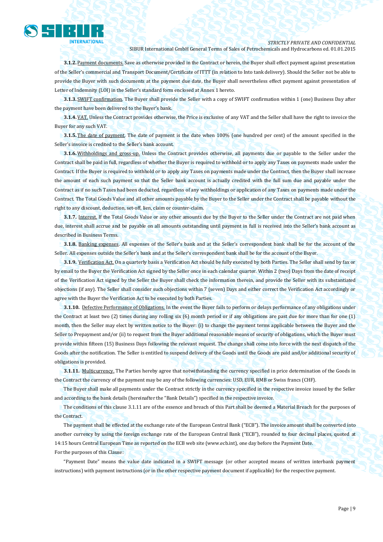

### *STRICTLY PRIVATE AND CONFIDENTIAL*

SIBUR International GmbH General Terms of Sales of Petrochemicals and Hydrocarbons ed. 01.01.2015

**3.1.2.** Payment documents. Save as otherwise provided in the Contract or herein, the Buyer shall effect payment against presentation of the Seller's commercial and Transport Document/Certificate of ITTT (in relation to Into tank delivery). Should the Seller not be able to provide the Buyer with such documents at the payment due date, the Buyer shall nevertheless effect payment against presentation of Letter of Indemnity (LOI) in the Seller's standard form enclosed at Annex 1 hereto.

**3.1.3.** SWIFT confirmation. The Buyer shall provide the Seller with a copy of SWIFT confirmation within 1 (one) Business Day after the payment have been delivered to the Buyer's bank.

**3.1.4.** VAT. Unless the Contract provides otherwise, the Price is exclusive of any VAT and the Seller shall have the right to invoice the Buyer for any such VAT.

**3.1.5.** The date of payment. The date of payment is the date when 100% (one hundred per cent) of the amount specified in the Seller's invoice is credited to the Seller's bank account.

**3.1.6.** Withholdings and gross-up. Unless the Contract provides otherwise, all payments due or payable to the Seller under the Contract shall be paid in full, regardless of whether the Buyer is required to withhold or to apply any Taxes on payments made under the Contract. If the Buyer is required to withhold or to apply any Taxes on payments made under the Contract, then the Buyer shall increase the amount of each such payment so that the Seller bank account is actually credited with the full sum due and payable under the Contract as if no such Taxes had been deducted, regardless of any withholdings or application of any Taxes on payments made under the Contract. The Total Goods Value and all other amounts payable by the Buyer to the Seller under the Contract shall be payable without the right to any discount, deduction, set-off, lien, claim or counter-claim.

**3.1.7.** Interest. If the Total Goods Value or any other amounts due by the Buyer to the Seller under the Contract are not paid when due, interest shall accrue and be payable on all amounts outstanding until payment in full is received into the Seller's bank account as described in Business Terms.

**3.1.8.** Banking expenses. All expenses of the Seller's bank and at the Seller's correspondent bank shall be for the account of the Seller. All expenses outside the Seller's bank and at the Seller's correspondent bank shall be for the account of the Buyer.

**3.1.9.** Verification Act. On a quarterly basis a Verification Act should be fully executed by both Parties. The Seller shall send by fax or by email to the Buyer the Verification Act signed by the Seller once in each calendar quarter. Within 2 (two) Days from the date of receipt of the Verification Act signed by the Seller the Buyer shall check the information therein, and provide the Seller with its substantiated objections (if any). The Seller shall consider such objections within 7 (seven) Days and either correct the Verification Act accordingly or agree with the Buyer the Verification Act to be executed by both Parties.

**3.1.10.** Defective Performance of Obligations. In the event the Buyer fails to perform or delays performance of any obligations under the Contract at least two (2) times during any rolling six (6) month period or if any obligations are past due for more than for one (1) month, then the Seller may elect by written notice to the Buyer: (i) to change the payment terms applicable between the Buyer and the Seller to Prepayment and/or (ii) to request from the Buyer additional reasonable means of security of obligations, which the Buyer must provide within fifteen (15) Business Days following the relevant request. The change shall come into force with the next dispatch of the Goods after the notification. The Seller is entitled to suspend delivery of the Goods until the Goods are paid and/or additional security of obligations is provided.

**3.1.11.** Multicurrency. The Parties hereby agree that notwithstanding the currency specified in price determination of the Goods in the Contract the currency of the payment may be any of the following currencies: USD, EUR, RMB or Swiss francs (CHF).

The Buyer shall make all payments under the Contract strictly in the currency specified in the respective invoice issued by the Seller and according to the bank details (hereinafter the "Bank Details") specified in the respective invoice.

The conditions of this clause 3.1.11 are of the essence and breach of this Part shall be deemed a Material Breach for the purposes of the Contract.

The payment shall be effected at the exchange rate of the European Central Bank ("ECB"). The invoice amount shall be converted into another currency by using the foreign exchange rate of the European Central Bank ("ECB"), rounded to four decimal places, quoted at 14:15 hours Central European Time as reported on the ECB web site (www.ecb.int), one day before the Payment Date. For the purposes of this Clause:

"Payment Date" means the value date indicated in a SWIFT message (or other accepted means of written interbank payment instructions) with payment instructions (or in the other respective payment document if applicable) for the respective payment.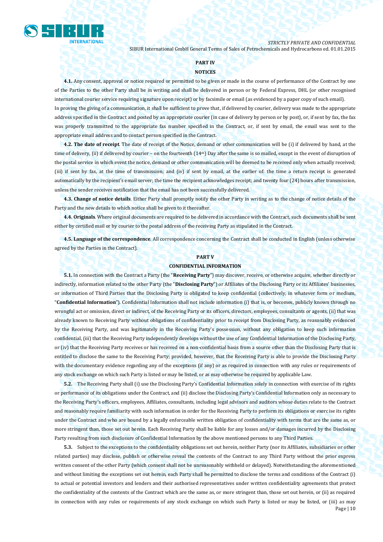

#### **PART IV**

#### **NOTICES**

**4.1.** Any consent, approval or notice required or permitted to be given or made in the course of performance of the Contract by one of the Parties to the other Party shall be in writing and shall be delivered in person or by Federal Express, DHL (or other recognised international courier service requiring signature upon receipt) or by facsimile or email (as evidenced by a paper copy of such email). In proving the giving of a communication, it shall be sufficient to prove that, if delivered by courier, delivery was made to the appropriate address specified in the Contract and posted by an appropriate courier (in case of delivery by person or by post), or, if sent by fax, the fax was properly transmitted to the appropriate fax number specified in the Contract, or, if sent by email, the email was sent to the appropriate email address and to contact person specified in the Contract.

**4.2. The date of receipt**. The date of receipt of the Notice, demand or other communication will be (i) if delivered by hand, at the time of delivery, (ii) if delivered by courier – on the fourteenth (14<sup>th</sup>) Day after the same is so mailed, except in the event of disruption of the postal service in which event the notice, demand or other communication will be deemed to be received only when actually received; (iii) if sent by fax, at the time of transmission; and (iv) if sent by email, at the earlier of: the time a return receipt is generated automatically by the recipient's email server; the time the recipient acknowledges receipt; and twenty four (24) hours after transmission, unless the sender receives notification that the email has not been successfully delivered.

**4.3. Change of notice details**. Either Party shall promptly notify the other Party in writing as to the change of notice details of the Party and the new details to which notice shall be given to it thereafter.

**4.4. Originals**. Where original documents are required to be delivered in accordance with the Contract, such documents shall be sent either by certified mail or by courier to the postal address of the receiving Party as stipulated in the Contract.

**4.5. Language of the correspondence**. All correspondence concerning the Contract shall be conducted in English (unless otherwise agreed by the Parties in the Contract).

## **PART V**

#### **CONFIDENTIAL INFORMATION**

**5.1.** In connection with the Contract a Party (the "**Receiving Party**") may discover, receive, or otherwise acquire, whether directly or indirectly, information related to the other Party (the "**Disclosing Party**") or Affiliates of the Disclosing Party or its Affiliates' businesses, or information of Third Parties that the Disclosing Party is obligated to keep confidential (collectively, in whatever form or medium, "**Confidential Information**"). Confidential Information shall not include information (i) that is, or becomes, publicly known through no wrongful act or omission, direct or indirect, of the Receiving Party or its officers, directors, employees, consultants or agents, (ii) that was already known to Receiving Party without obligations of confidentiality prior to receipt from Disclosing Party, as reasonably evidenced by the Receiving Party, and was legitimately in the Receiving Party's possession, without any obligation to keep such information confidential, (iii) that the Receiving Party independently develops without the use of any Confidential Information of the Disclosing Party, or (iv) that the Receiving Party receives or has received on a non-confidential basis from a source other than the Disclosing Party that is entitled to disclose the same to the Receiving Party; provided, however, that the Receiving Party is able to provide the Disclosing Party with the documentary evidence regarding any of the exceptions (if any) or as required in connection with any rules or requirements of any stock exchange on which such Party is listed or may be listed, or as may otherwise be required by applicable Law.

**5.2.** The Receiving Party shall (i) use the Disclosing Party's Confidential Information solely in connection with exercise of its rights or performance of its obligations under the Contract, and (ii) disclose the Disclosing Party's Confidential Information only as necessary to the Receiving Party's officers, employees, Affiliates, consultants, including legal advisors and auditors whose duties relate to the Contract and reasonably require familiarity with such information in order for the Receiving Party to perform its obligations or exercise its rights under the Contract and who are bound by a legally enforceable written obligation of confidentiality with terms that are the same as, or more stringent than, those set out herein. Each Receiving Party shall be liable for any losses and/or damages incurred by the Disclosing Party resulting from such disclosure of Confidential Information by the above mentioned persons to any Third Parties.

**5.3.** Subject to the exceptions to the confidentiality obligations set out herein, neither Party (nor its Affiliates, subsidiaries or other related parties) may disclose, publish or otherwise reveal the contents of the Contract to any Third Party without the prior express written consent of the other Party (which consent shall not be unreasonably withheld or delayed). Notwithstanding the aforementioned and without limiting the exceptions set out herein, each Party shall be permitted to disclose the terms and conditions of the Contract (i) to actual or potential investors and lenders and their authorised representatives under written confidentiality agreements that protect the confidentiality of the contents of the Contract which are the same as, or more stringent than, those set out herein, or (ii) as required in connection with any rules or requirements of any stock exchange on which such Party is listed or may be listed, or (iii) as may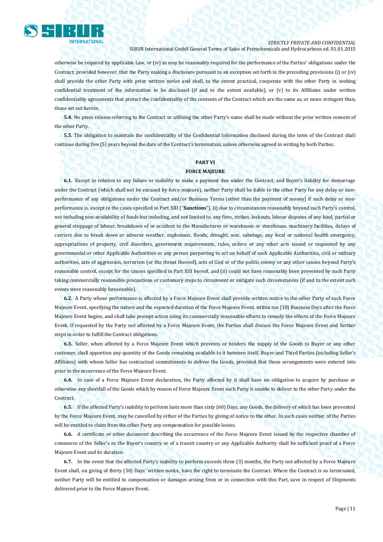

otherwise be required by applicable Law, or (iv) as may be reasonably required for the performance of the Parties' obligations under the Contract; provided however, that the Party making a disclosure pursuant to an exception set forth in the preceding provisions (i) or (iv) shall provide the other Party with prior written notice and shall, to the extent practical, cooperate with the other Party in seeking confidential treatment of the information to be disclosed (if and to the extent available), or (v) to its Affiliates under written confidentiality agreements that protect the confidentiality of the contents of the Contract which are the same as, or more stringent than, those set out herein.

**5.4.** No press release referring to the Contract or utilising the other Party's name shall be made without the prior written consent of the other Party.

**5.5.** The obligation to maintain the confidentiality of the Confidential Information disclosed during the term of the Contract shall continue during five (5) years beyond the date of the Contract's termination, unless otherwise agreed in writing by both Parties.

#### **PART VI**

#### **FORCE MAJEURE**

**6.1.** Except in relation to any failure or inability to make a payment due under the Contract, and Buyer's liability for demurrage under the Contract (which shall not be excused by force majeure), neither Party shall be liable to the other Party for any delay or nonperformance of any obligations under the Contract and/or Business Terms (other than the payment of money) if such delay or nonperformance is, except in the cases specified in Part XIII ("**Sanctions**"), (i) due to circumstances reasonably beyond such Party's control, not including non-availability of funds but including, and not limited to, any fires, strikes, lockouts, labour disputes of any kind, partial or general stoppage of labour, breakdown of or accident to the Manufacturer or warehouse or storehouse, machinery facilities, delays of carriers due to break down or adverse weather, explosions, floods, drought, war, sabotage, any local or national health emergency, appropriations of property, civil disorders, government requirements, rules, orders or any other acts issued or requested by any governmental or other Applicable Authorities or any person purporting to act on behalf of such Applicable Authorities, civil or military authorities, acts of aggression, terrorism (or the threat thereof), acts of God or of the public enemy or any other causes beyond Party's reasonable control, except for the causes specified in Part XIII hereof, and (ii) could not have reasonably been prevented by such Party taking commercially reasonable precautions or customary steps to circumvent or mitigate such circumstances (if and to the extent such events were reasonably foreseeable).

**6.2.** A Party whose performance is affected by a Force Majeure Event shall provide written notice to the other Party of such Force Majeure Event, specifying the nature and the expected duration of the Force Majeure Event, within ten (10) Business Days after the Force Majeure Event begins, and shall take prompt action using its commercially reasonable efforts to remedy the effects of the Force Majeure Event. If requested by the Party not affected by a Force Majeure Event, the Parties shall discuss the Force Majeure Event and further steps in order to fulfill the Contract obligations.

**6.3.** Seller, when affected by a Force Majeure Event which prevents or hinders the supply of the Goods to Buyer or any other customer, shall apportion any quantity of the Goods remaining available to it between itself, Buyer and Third Parties (including Seller's Affiliates) with whom Seller has contractual commitments to deliver the Goods, provided that those arrangements were entered into prior to the occurrence of the Force Majeure Event.

**6.4.** In case of a Force Majeure Event declaration, the Party affected by it shall have no obligation to acquire by purchase or otherwise any shortfall of the Goods which by reason of Force Majeure Event such Party is unable to deliver to the other Party under the Contract.

**6.5.** If the affected Party's inability to perform lasts more than sixty (60) Days, any Goods, the delivery of which has been prevented by the Force Majeure Event, may be cancelled by either of the Parties by giving of notice to the other. In such cases neither of the Parties will be entitled to claim from the other Party any compensation for possible losses.

**6.6.** A certificate or other document describing the occurrence of the Force Majeure Event issued by the respective chamber of commerce of the Seller's or the Buyer's country or of a transit country or any Applicable Authority shall be sufficient proof of a Force Majeure Event and its duration.

**6.7.** In the event that the affected Party's inability to perform exceeds three (3) months, the Party not affected by a Force Majeure Event shall, on giving of thirty (30) Days' written notice, have the right to terminate the Contract. Where the Contract is so terminated, neither Party will be entitled to compensation or damages arising from or in connection with this Part, save in respect of Shipments delivered prior to the Force Majeure Event.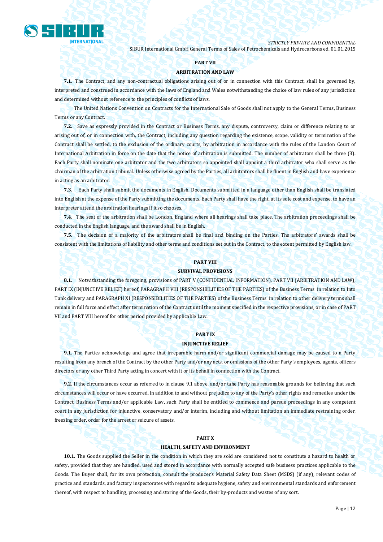

#### **PART VII**

#### **ARBITRATION AND LAW**

**7.1.** The Contract, and any non-contractual obligations arising out of or in connection with this Contract, shall be governed by, interpreted and construed in accordance with the laws of England and Wales notwithstanding the choice of law rules of any jurisdiction and determined without reference to the principles of conflicts of laws.

The United Nations Convention on Contracts for the International Sale of Goods shall not apply to the General Terms, Business Terms or any Contract.

**7.2.** Save as expressly provided in the Contract or Business Terms, any dispute, controversy, claim or difference relating to or arising out of, or in connection with, the Contract, including any question regarding the existence, scope, validity or termination of the Contract shall be settled, to the exclusion of the ordinary courts, by arbitration in accordance with the rules of the London Court of International Arbitration in force on the date that the notice of arbitration is submitted. The number of arbitrators shall be three (3). Each Party shall nominate one arbitrator and the two arbitrators so appointed shall appoint a third arbitrator who shall serve as the chairman of the arbitration tribunal. Unless otherwise agreed by the Parties, all arbitrators shall be fluent in English and have experience in acting as an arbitrator.

**7.3.** Each Party shall submit the documents in English. Documents submitted in a language other than English shall be translated into English at the expense of the Party submitting the documents. Each Party shall have the right, at its sole cost and expense, to have an interpreter attend the arbitration hearings if it so chooses.

**7.4.** The seat of the arbitration shall be London, England where all hearings shall take place. The arbitration proceedings shall be conducted in the English language, and the award shall be in English.

**7.5.** The decision of a majority of the arbitrators shall be final and binding on the Parties. The arbitrators' awards shall be consistent with the limitations of liability and other terms and conditions set out in the Contract, to the extent permitted by English law.

#### **PART VIII**

#### **SURVIVAL PROVISIONS**

**8.1.** Notwithstanding the foregoing, provisions of PART V (CONFIDENTIAL INFORMATION), PART VII (ARBITRATION AND LAW), PART IX (INJUNCTIVE RELIEF) hereof, PARAGRAPH VIII (RESPONSIBILITIES OF THE PARTIES) of the Business Terms in relation to Into Tank delivery and PARAGRAPH XI (RESPONSIBILITIES OF THE PARTIES) of the Business Terms in relation to other delivery terms shall remain in full force and effect after termination of the Contract until the moment specified in the respective provisions, or in case of PART VII and PART VIII hereof for other period provided by applicable Law.

## **PART IX**

#### **INJUNCTIVE RELIEF**

**9.1.** The Parties acknowledge and agree that irreparable harm and/or significant commercial damage may be caused to a Party resulting from any breach of the Contract by the other Party and/or any acts, or omissions of the other Party's employees, agents, officers directors or any other Third Party acting in concert with it or its behalf in connection with the Contract.

**9.2.** If the circumstances occur as referred to in clause 9.1 above, and/or tahe Party has reasonable grounds for believing that such circumstances will occur or have occurred, in addition to and without prejudice to any of the Party's other rights and remedies under the Contract, Business Terms and/or applicable Law, such Party shall be entitled to commence and pursue proceedings in any competent court in any jurisdiction for injunctive, conservatory and/or interim, including and without limitation an immediate restraining order, freezing order, order for the arrest or seizure of assets.

#### **PART X**

#### **HEALTH, SAFETY AND ENVIRONMENT**

**10.1.** The Goods supplied the Seller in the condition in which they are sold are considered not to constitute a hazard to health or safety, provided that they are handled, used and stored in accordance with normally accepted safe business practices applicable to the Goods. The Buyer shall, for its own protection, consult the producer's Material Safety Data Sheet (MSDS) (if any), relevant codes of practice and standards, and factory inspectorates with regard to adequate hygiene, safety and environmental standards and enforcement thereof, with respect to handling, processing and storing of the Goods, their by-products and wastes of any sort.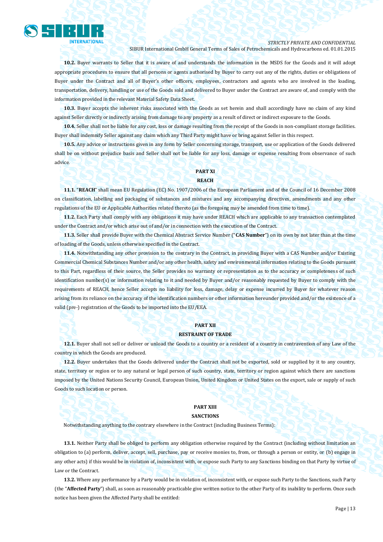

#### *STRICTLY PRIVATE AND CONFIDENTIAL*

SIBUR International GmbH General Terms of Sales of Petrochemicals and Hydrocarbons ed. 01.01.2015

**10.2.** Buyer warrants to Seller that it is aware of and understands the information in the MSDS for the Goods and it will adopt appropriate procedures to ensure that all persons or agents authorised by Buyer to carry out any of the rights, duties or obligations of Buyer under the Contract and all of Buyer's other officers, employees, contractors and agents who are involved in the loading, transportation, delivery, handling or use of the Goods sold and delivered to Buyer under the Contract are aware of, and comply with the information provided in the relevant Material Safety Data Sheet.

**10.3.** Buyer accepts the inherent risks associated with the Goods as set herein and shall accordingly have no claim of any kind against Seller directly or indirectly arising from damage to any property as a result of direct or indirect exposure to the Goods.

**10.4.** Seller shall not be liable for any cost, loss or damage resulting from the receipt of the Goods in non-compliant storage facilities. Buyer shall indemnify Seller against any claim which any Third Party might have or bring against Seller in this respect.

**10.5.** Any advice or instructions given in any form by Seller concerning storage, transport, use or application of the Goods delivered shall be on without prejudice basis and Seller shall not be liable for any loss, damage or expense resulting from observance of such advice.

## **PART XI**

**REACH**

**11.1.** "**REACH**" shall mean EU Regulation (EC) No. 1907/2006 of the European Parliament and of the Council of 16 December 2008 on classification, labelling and packaging of substances and mixtures and any accompanying directives, amendments and any other regulations of the EU or Applicable Authorities related thereto (as the foregoing may be amended from time to time).

**11.2.** Each Party shall comply with any obligations it may have under REACH which are applicable to any transaction contemplated under the Contract and/or which arise out of and/or in connection with the execution of the Contract.

**11.3.** Seller shall provide Buyer with the Chemical Abstract Service Number ("**CAS Number**") on its own by not later than at the time of loading of the Goods, unless otherwise specified in the Contract.

**11.4.** Notwithstanding any other provision to the contrary in the Contract, in providing Buyer with a CAS Number and/or Existing Commercial Chemical Substances Number and/or any other health, safety and environmental information relating to the Goods pursuant to this Part, regardless of their source, the Seller provides no warranty or representation as to the accuracy or completeness of such identification number(s) or information relating to it and needed by Buyer and/or reasonably requested by Buyer to comply with the requirements of REACH, hence Seller accepts no liability for loss, damage, delay or expense incurred by Buyer for whatever reason arising from its reliance on the accuracy of the identification numbers or other information hereunder provided and/or the existence of a valid (pre-) registration of the Goods to be imported into the EU/EEA.

## **PART XII**

#### **RESTRAINT OF TRADE**

**12.1.** Buyer shall not sell or deliver or unload the Goods to a country or a resident of a country in contravention of any Law of the country in which the Goods are produced.

**12.2.** Buyer undertakes that the Goods delivered under the Contract shall not be exported, sold or supplied by it to any country, state, territory or region or to any natural or legal person of such country, state, territory or region against which there are sanctions imposed by the United Nations Security Council, European Union, United Kingdom or United States on the export, sale or supply of such Goods to such location or person.

## **PART XIII**

#### **SANCTIONS**

Notwithstanding anything to the contrary elsewhere in the Contract (including Business Terms):

**13.1.** Neither Party shall be obliged to perform any obligation otherwise required by the Contract (including without limitation an obligation to (a) perform, deliver, accept, sell, purchase, pay or receive monies to, from, or through a person or entity, or (b) engage in any other acts) if this would be in violation of, inconsistent with, or expose such Party to any Sanctions binding on that Party by virtue of Law or the Contract.

**13.2.** Where any performance by a Party would be in violation of, inconsistent with, or expose such Party to the Sanctions, such Party (the "**Affected Party**") shall, as soon as reasonably practicable give written notice to the other Party of its inability to perform. Once such notice has been given the Affected Party shall be entitled: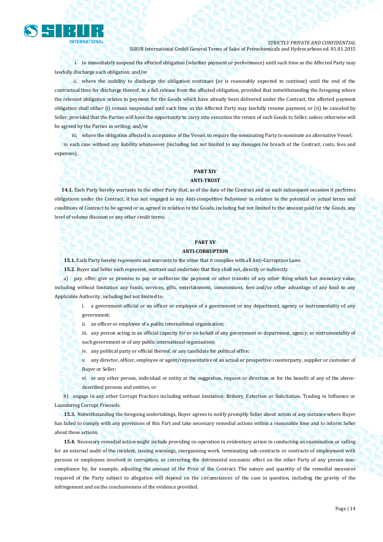

i. to immediately suspend the affected obligation (whether payment or performance) until such time as the Affected Party may lawfully discharge such obligation; and/or

ii. where the inability to discharge the obligation continues (or is reasonably expected to continue) until the end of the contractual time for discharge thereof, to a full release from the affected obligation, provided that notwithstanding the foregoing where the relevant obligation relates to payment for the Goods which have already been delivered under the Contract, the affected payment obligation shall either (i) remain suspended until such time as the Affected Party may lawfully resume payment, or (ii) be canceled by Seller, provided that the Parties will have the opportunity to carry into execution the return of such Goods to Seller, unless otherwise will be agreed by the Parties in writing; and/or

iii. where the obligation affected is acceptance of the Vessel, to require the nominating Party to nominate an alternative Vessel; in each case without any liability whatsoever (including but not limited to any damages for breach of the Contract, costs, fees and expenses).

## **PART XIV**

### **ANTI-TRUST**

**14.1.** Each Party hereby warrants to the other Party that, as of the date of the Contract and on each subsequent occasion it performs obligations under the Contract, it has not engaged in any Anti-competitive Behaviour in relation to the potential or actual terms and conditions of Contract to be agreed or as agreed in relation to the Goods, including but not limited to the amount paid for the Goods, any level of volume discount or any other credit terms.

## **PART XV**

#### **ANTI-CORRUPTION**

**15.1.** Each Party hereby represents and warrants to the other that it complies with all Anti-Corruption Laws.

**15.2.** Buyer and Seller each represent, warrant and undertake that they shall not, directly or indirectly

a) pay, offer, give or promise to pay or authorise the payment or other transfer of any other thing which has monetary value, including without limitation any funds, services, gifts, entertainment, commissions, fees and/or other advantage of any kind to any Applicable Authority, including but not limited to:

i. a government official or an officer or employee of a government or any department, agency or instrumentality of any government;

ii. an officer or employee of a public international organisation;

iii. any person acting in an official capacity for or on behalf of any government or department, agency, or instrumentality of such government or of any public international organisation;

iv. any political party or official thereof, or any candidate for political office;

v. any director, officer, employee or agent/representative of an actual or prospective counterparty, supplier or customer of Buyer or Seller;

vi. or any other person, individual or entity at the suggestion, request or direction or for the benefit of any of the abovedescribed persons and entities, or

b) engage in any other Corrupt Practices including without limitation: Bribery, Extortion or Solicitation, Trading in Influence or Laundering Corrupt Proceeds.

**15.3.** Notwithstanding the foregoing undertakings, Buyer agrees to notify promptly Seller about action of any instance where Buyer has failed to comply with any provisions of this Part and take necessary remedial actions within a reasonable time and to inform Seller about these actions.

**15.4.** Necessary remedial action might include providing co-operation in evidentiary action in conducting an examination or calling for an external audit of the incident, issuing warnings, reorganising work, terminating sub-contracts or contracts of employment with persons or employees involved in corruption, or correcting the detrimental economic effect on the other Party of any proven noncompliance by, for example, adjusting the amount of the Price of the Contract. The nature and quantity of the remedial measures required of the Party subject to allegation will depend on the circumstances of the case in question, including the gravity of the infringement and on the conclusiveness of the evidence provided.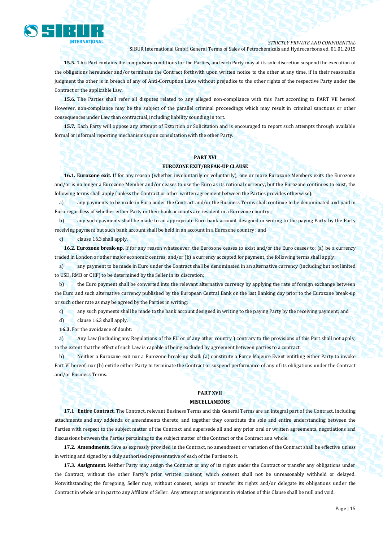

*STRICTLY PRIVATE AND CONFIDENTIAL*

SIBUR International GmbH General Terms of Sales of Petrochemicals and Hydrocarbons ed. 01.01.2015

**15.5.** This Part contains the compulsory conditions for the Parties, and each Party may at its sole discretion suspend the execution of the obligations hereunder and/or terminate the Contract forthwith upon written notice to the other at any time, if in their reasonable judgment the other is in breach of any of Anti-Corruption Laws without prejudice to the other rights of the respective Party under the Contract or the applicable Law.

**15.6.** The Parties shall refer all disputes related to any alleged non-compliance with this Part according to PART VII hereof. However, non-compliance may be the subject of the parallel criminal proceedings which may result in criminal sanctions or other consequences under Law than contractual, including liability sounding in tort.

**15.7.** Each Party will oppose any attempt of Extortion or Solicitation and is encouraged to report such attempts through available formal or informal reporting mechanisms upon consultation with the other Party.

## **PART XVI**

#### **EUROZONE EXIT/BREAK-UP CLAUSE**

**16.1. Eurozone exit.** If for any reason (whether involuntarily or voluntarily), one or more Eurozone Members exits the Eurozone and/or is no longer a Eurozone Member and/or ceases to use the Euro as its national currency, but the Eurozone continues to exist, the following terms shall apply (unless the Contract or other written agreement between the Parties provides otherwise):

a) any payments to be made in Euro under the Contract and/or the Business Terms shall continue to be denominated and paid in Euro regardless of whether either Party or their bank accounts are resident in a Eurozone country ;

b) any such payments shall be made to an appropriate Euro bank account designed in writing to the paying Party by the Party receiving payment but such bank account shall be held in an account in a Eurozone country ; and

c) clause 16.3 shall apply.

**16.2. Eurozone break-up.** If for any reason whatsoever, the Eurozone ceases to exist and/or the Euro ceases to: (a) be a currency traded in London or other major economic centres; and/or (b) a currency accepted for payment, the following terms shall apply:

a) any payment to be made in Euro under the Contract shall be denominated in an alternative currency (including but not limited to USD, RMB or CHF) to be determined by the Seller in its discretion;

b) the Euro payment shall be converted into the relevant alternative currency by applying the rate of foreign exchange between the Euro and such alternative currency published by the European Central Bank on the last Banking day prior to the Eurozone break-up or such other rate as may be agreed by the Parties in writing;

c) any such payments shall be made to the bank account designed in writing to the paying Party by the receiving payment; and

d) clause 16.3 shall apply.

**16.3.** For the avoidance of doubt:

a) Any Law (including any Regulations of the EU or of any other country ) contrary to the provisions of this Part shall not apply, to the extent that the effect of such Law is capable of being excluded by agreement between parties to a contract.

b) Neither a Eurozone exit nor a Eurozone break-up shall: (a) constitute a Force Majeure Event entitling either Party to invoke Part VI hereof, nor (b) entitle either Party to terminate the Contract or suspend performance of any of its obligations under the Contract and/or Business Terms.

## **PART XVII MISCELLANEOUS**

**17.1 Entire Contract**. The Contract, relevant Business Terms and this General Terms are an integral part of the Contract, including attachments and any addenda or amendments thereto, and together they constitute the sole and entire understanding between the Parties with respect to the subject matter of the Contract and supersede all and any prior oral or written agreements, negotiations and discussions between the Parties pertaining to the subject matter of the Contract or the Contract as a whole.

**17.2. Amendments**. Save as expressly provided in the Contract, no amendment or variation of the Contract shall be effective unless in writing and signed by a duly authorised representative of each of the Parties to it.

**17.3. Assignment**. Neither Party may assign the Contract or any of its rights under the Contract or transfer any obligations under the Contract, without the other Party's prior written consent, which consent shall not be unreasonably withheld or delayed. Notwithstanding the foregoing, Seller may, without consent, assign or transfer its rights and/or delegate its obligations under the Contract in whole or in part to any Affiliate of Seller. Any attempt at assignment in violation of this Clause shall be null and void.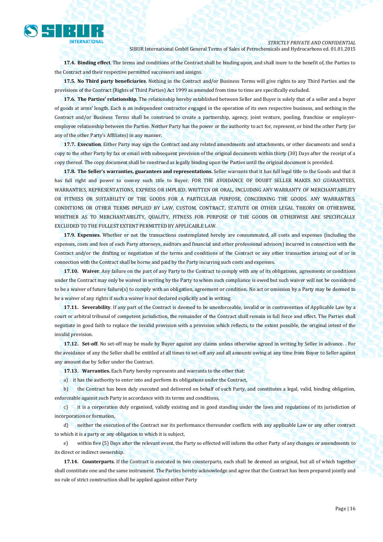

**17.4. Binding effect**. The terms and conditions of the Contract shall be binding upon, and shall inure to the benefit of, the Parties to the Contract and their respective permitted successors and assigns.

**17.5. No Third party beneficiaries**. Nothing in the Contract and/or Business Terms will give rights to any Third Parties and the provisions of the Contract (Rights of Third Parties) Act 1999 as amended from time to time are specifically excluded.

**17.6. The Parties' relationship.** The relationship hereby established between Seller and Buyer is solely that of a seller and a buyer of goods at arms' length. Each is an independent contractor engaged in the operation of its own respective business, and nothing in the Contract and/or Business Terms shall be construed to create a partnership, agency, joint venture, pooling, franchise or employeremployee relationship between the Parties. Neither Party has the power or the authority to act for, represent, or bind the other Party (or any of the other Party's Affiliates) in any manner.

**17.7. Execution**. Either Party may sign the Contract and any related amendments and attachments, or other documents and send a copy to the other Party by fax or email with subsequent provision of the original documents within thirty (30) Days after the receipt of a copy thereof. The copy document shall be construed as legally binding upon the Parties until the original document is provided.

**17.8. The Seller's warranties, guarantees and representations.** Seller warrants that it has full legal title to the Goods and that it has full right and power to convey such title to Buyer. FOR THE AVOIDANCE OF DOUBT SELLER MAKES NO GUARANTEES, WARRANTIES, REPRESENTATIONS, EXPRESS OR IMPLIED, WRITTEN OR ORAL, INCLUDING ANY WARRANTY OF MERCHANTABILITY OR FITNESS OR SUITABILITY OF THE GOODS FOR A PARTICULAR PURPOSE, CONCERNING THE GOODS. ANY WARRANTIES, CONDITIONS OR OTHER TERMS IMPLIED BY LAW, CUSTOM, CONTRACT, STATUTE OR OTHER LEGAL THEORY OR OTHERWISE, WHETHER AS TO MERCHANTABILITY, QUALITY, FITNESS FOR PURPOSE OF THE GOODS OR OTHERWISE ARE SPECIFICALLY EXCLUDED TO THE FULLEST EXTENT PERMITTED BY APPLICABLE LAW.

**17.9. Expenses.** Whether or not the transactions contemplated hereby are consummated, all costs and expenses (including the expenses, costs and fees of each Party attorneys, auditors and financial and other professional advisors) incurred in connection with the Contract and/or the drafting or negotiation of the terms and conditions of the Contract or any other transaction arising out of or in connection with the Contract shall be borne and paid by the Party incurring such costs and expenses.

**17.10. Waiver**. Any failure on the part of any Party to the Contract to comply with any of its obligations, agreements or conditions under the Contract may only be waived in writing by the Party to whom such compliance is owed but such waiver will not be considered to be a waiver of future failure(s) to comply with an obligation, agreement or condition. No act or omission by a Party may be deemed to be a waiver of any rights if such a waiver is not declared explicitly and in writing.

**17.11. Severability**. If any part of the Contract is deemed to be unenforceable, invalid or in contravention of Applicable Law by a court or arbitral tribunal of competent jurisdiction, the remainder of the Contract shall remain in full force and effect. The Parties shall negotiate in good faith to replace the invalid provision with a provision which reflects, to the extent possible, the original intent of the invalid provision.

**17.12. Set-off**. No set-off may be made by Buyer against any claims unless otherwise agreed in writing by Seller in advance. . For the avoidance of any the Seller shall be entitled at all times to set-off any and all amounts owing at any time from Buyer to Seller against any amount due by Seller under the Contract.

**17.13. Warranties.** Each Party hereby represents and warrants to the other that:

a) it has the authority to enter into and perform its obligations under the Contract,

b) the Contract has been duly executed and delivered on behalf of such Party, and constitutes a legal, valid, binding obligation, enforceable against such Party in accordance with its terms and conditions,

c) it is a corporation duly organised, validly existing and in good standing under the laws and regulations of its jurisdiction of incorporation or formation,

d) neither the execution of the Contract nor its performance thereunder conflicts with any applicable Law or any other contract to which it is a party or any obligation to which it is subject,

e) within five (5) Days after the relevant event, the Party so effected will inform the other Party of any changes or amendments to its direct or indirect ownership.

**17.14. Counterparts.** If the Contract is executed in two counterparts, each shall be deemed an original, but all of which together shall constitute one and the same instrument. The Parties hereby acknowledge and agree that the Contract has been prepared jointly and no rule of strict construction shall be applied against either Party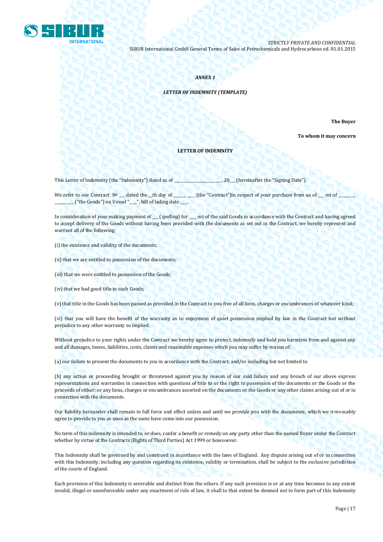

## *ANNEX 1*

## *LETTER OF INDEMNITY (TEMPLATE)*

**The Buyer** 

**To whom it may concern**

#### **LETTER OF INDEMNITY**

This Letter of Indemnity (the "Indemnity") dated as of \_\_\_\_\_\_\_\_\_\_\_\_\_\_\_\_\_\_\_\_\_\_\_\_\_, 20\_\_\_ (hereinafter the "Signing Date").

We refer to our Contract  $N^{\circ}$  dated the \_th day of \_\_\_\_, \_\_\_\_(the "Contract")in respect of your purchase from us of \_\_\_\_\_\_\_ mt of \_\_\_\_\_\_\_\_\_\_ ("the Goods") on Vessel "\_\_\_\_", bill of lading date \_\_\_\_.

In consideration of your making payment of \_\_\_ (*spelling*) for \_\_\_\_ mt of the said Goods in accordance with the Contract and having agreed to accept delivery of the Goods without having been provided with the documents as set out in the Contract, we hereby represent and warrant all of the following:

(i) the existence and validity of the documents;

(ii) that we are entitled to possession of the documents;

(iii) that we were entitled to possession of the Goods;

(iv) that we had good title to such Goods;

(v) that title in the Goods has been passed as provided in the Contract to you free of all liens, charges or encumbrances of whatever kind;

(vi) that you will have the benefit of the warranty as to enjoyment of quiet possession implied by law in the Contract but without prejudice to any other warranty so implied.

Without prejudice to your rights under the Contract we hereby agree to protect, indemnify and hold you harmless from and against any and all damages, losses, liabilities, costs, claims and reasonable expenses which you may suffer by reason of:

(a) our failure to present the documents to you in accordance with the Contract; and/or including but not limited to

(b) any action or proceeding brought or threatened against you by reason of our said failure and any breach of our above express representations and warranties in connection with questions of title to or the right to possession of the documents or the Goods or the proceeds of either; or any liens, charges or encumbrances asserted on the documents or the Goods or any other claims arising out of or in connection with the documents.

Our liability hereunder shall remain in full force and effect unless and until we provide you with the documents, which we irrevocably agree to provide to you as soon as the same have come into our possession.

No term of this indemnity is intended to, or does, confer a benefit or remedy on any party other than the named Buyer under the Contract whether by virtue of the Contracts (Rights of Third Parties) Act 1999 or howsoever.

This Indemnity shall be governed by and construed in accordance with the laws of England. Any dispute arising out of or in connection with this Indemnity, including any question regarding its existence, validity or termination, shall be subject to the exclusive jurisdiction of the courts of England.

Each provision of this Indemnity is severable and distinct from the others. If any such provision is or at any time becomes to any extent invalid, illegal or unenforceable under any enactment of rule of law, it shall to that extent be deemed not to form part of this Indemnity